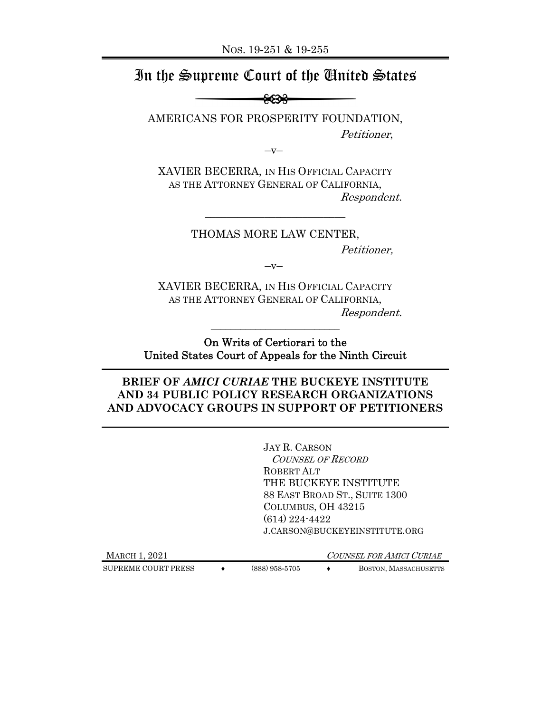# In the Supreme Court of the United States

AMERICANS FOR PROSPERITY FOUNDATION, Petitioner,

 $-V-$ 

XAVIER BECERRA, IN HIS OFFICIAL CAPACITY AS THE ATTORNEY GENERAL OF CALIFORNIA, Respondent.

\_\_\_\_\_\_\_\_\_\_\_\_\_\_\_\_\_\_\_\_\_\_\_\_\_\_

THOMAS MORE LAW CENTER, Petitioner,

 $-V-$ 

XAVIER BECERRA, IN HIS OFFICIAL CAPACITY AS THE ATTORNEY GENERAL OF CALIFORNIA, Respondent.

On Writs of Certiorari to the United States Court of Appeals for the Ninth Circuit

 $\mathcal{L}_\text{max}$ 

### **BRIEF OF** *AMICI CURIAE* **THE BUCKEYE INSTITUTE AND 34 PUBLIC POLICY RESEARCH ORGANIZATIONS AND ADVOCACY GROUPS IN SUPPORT OF PETITIONERS**

JAY R. CARSON COUNSEL OF RECORD ROBERT ALT THE BUCKEYE INSTITUTE 88 EAST BROAD ST., SUITE 1300 COLUMBUS, OH 43215 (614) 224-4422 J.CARSON@BUCKEYEINSTITUTE.ORG

MARCH 1, 2021 COUNSEL FOR AMICI CURIAE

SUPREME COURT PRESS  $\longleftrightarrow$  (888) 958-5705  $\longleftrightarrow$  BOSTON, MASSACHUSETTS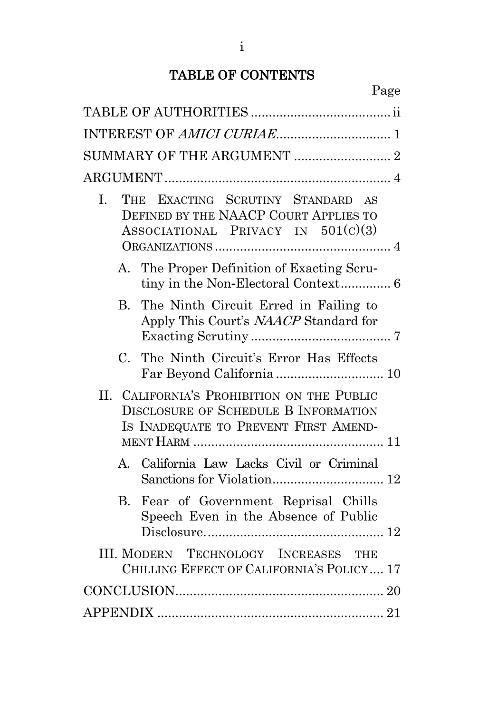## TABLE OF CONTENTS

| SUMMARY OF THE ARGUMENT  2                                                                                                  |  |
|-----------------------------------------------------------------------------------------------------------------------------|--|
|                                                                                                                             |  |
| THE EXACTING SCRUTINY STANDARD AS<br>L.<br>DEFINED BY THE NAACP COURT APPLIES TO<br>$ASSOCIATIONAL$ PRIVACY IN $501(c)(3)$  |  |
| The Proper Definition of Exacting Scru-<br>$A_{-}$                                                                          |  |
| The Ninth Circuit Erred in Failing to<br>$B_{\cdot}$<br>Apply This Court's NAACP Standard for                               |  |
| The Ninth Circuit's Error Has Effects<br>$C_{\cdot}$                                                                        |  |
| II. CALIFORNIA'S PROHIBITION ON THE PUBLIC<br>DISCLOSURE OF SCHEDULE B INFORMATION<br>IS INADEQUATE TO PREVENT FIRST AMEND- |  |
| California Law Lacks Civil or Criminal<br>A.                                                                                |  |
| Fear of Government Reprisal Chills<br>B.<br>Speech Even in the Absence of Public                                            |  |
| III. MODERN TECHNOLOGY INCREASES THE<br>CHILLING EFFECT OF CALIFORNIA'S POLICY 17                                           |  |
|                                                                                                                             |  |
|                                                                                                                             |  |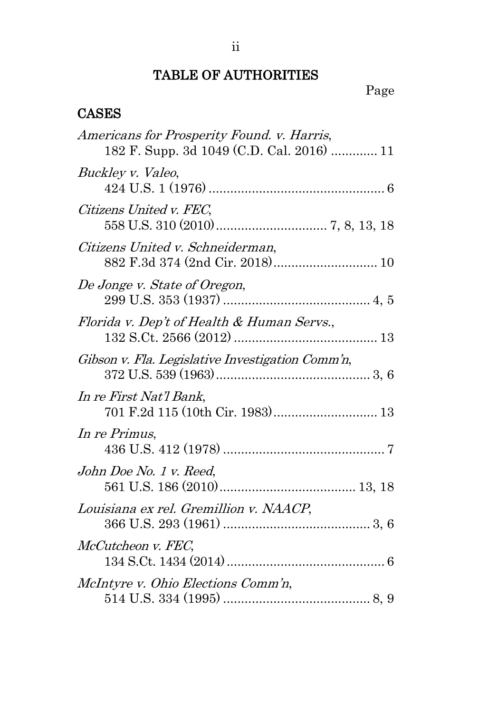## TABLE OF AUTHORITIES

Page

## <span id="page-2-0"></span>**CASES**

| Americans for Prosperity Found. v. Harris,<br>182 F. Supp. 3d 1049 (C.D. Cal. 2016)  11 |
|-----------------------------------------------------------------------------------------|
| Buckley v. Valeo,                                                                       |
| Citizens United v. FEC,                                                                 |
| Citizens United v. Schneiderman,<br>882 F.3d 374 (2nd Cir. 2018) 10                     |
| De Jonge v. State of Oregon,                                                            |
| Florida v. Dep't of Health & Human Servs.,                                              |
| Gibson v. Fla. Legislative Investigation Comm'n,                                        |
| In re First Nat'l Bank,                                                                 |
| In re Primus,                                                                           |
| John Doe No. 1 v. Reed,                                                                 |
| Louisiana ex rel. Gremillion v. NAACP,                                                  |
| McCutcheon v. FEC,                                                                      |
| McIntyre v. Ohio Elections Comm'n,                                                      |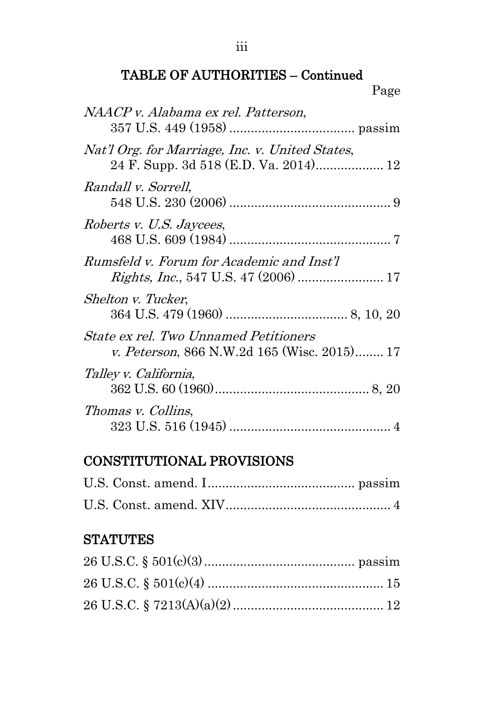| NAACP v. Alabama ex rel. Patterson,                                                         |  |
|---------------------------------------------------------------------------------------------|--|
| Nat'l Org. for Marriage, Inc. v. United States,<br>24 F. Supp. 3d 518 (E.D. Va. 2014) 12    |  |
| Randall v. Sorrell,                                                                         |  |
| Roberts v. U.S. Jaycees,                                                                    |  |
| Rumsfeld v. Forum for Academic and Inst'l                                                   |  |
| Shelton v. Tucker,                                                                          |  |
| <b>State ex rel. Two Unnamed Petitioners</b><br>v. Peterson, 866 N.W.2d 165 (Wisc. 2015) 17 |  |
| Talley v. California,                                                                       |  |
| Thomas v. Collins,                                                                          |  |

## CONSTITUTIONAL PROVISIONS

## **STATUTES**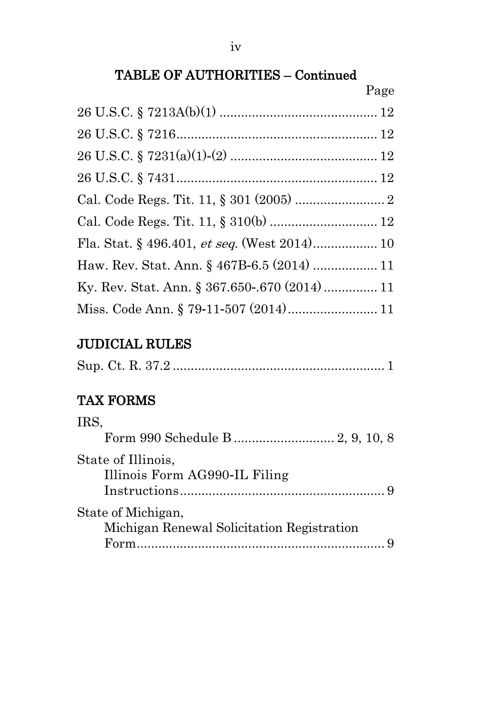|                                               | Page |
|-----------------------------------------------|------|
|                                               |      |
|                                               |      |
|                                               |      |
|                                               |      |
|                                               |      |
|                                               |      |
|                                               |      |
| Haw. Rev. Stat. Ann. § 467B-6.5 (2014)  11    |      |
| Ky. Rev. Stat. Ann. § 367.650-.670 (2014)  11 |      |
|                                               |      |

## JUDICIAL RULES

|--|--|--|--|

## TAX FORMS

| IRS,                                                |  |
|-----------------------------------------------------|--|
|                                                     |  |
| State of Illinois,<br>Illinois Form AG990-IL Filing |  |
| State of Michigan,                                  |  |
| Michigan Renewal Solicitation Registration          |  |
|                                                     |  |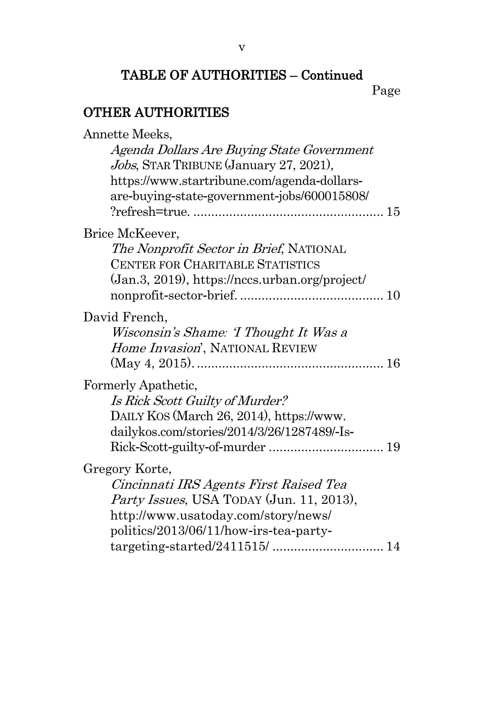Page

## OTHER AUTHORITIES

| Annette Meeks.                                   |  |
|--------------------------------------------------|--|
| Agenda Dollars Are Buying State Government       |  |
| Jobs, STAR TRIBUNE (January 27, 2021),           |  |
| https://www.startribune.com/agenda-dollars-      |  |
| are-buying-state-government-jobs/600015808/      |  |
|                                                  |  |
| Brice McKeever,                                  |  |
| The Nonprofit Sector in Brief, NATIONAL          |  |
| CENTER FOR CHARITABLE STATISTICS                 |  |
| (Jan.3, 2019), https://nccs.urban.org/project/   |  |
|                                                  |  |
| David French,                                    |  |
| Wisconsin's Shame: 'I Thought It Was a           |  |
| Home Invasion', NATIONAL REVIEW                  |  |
|                                                  |  |
| Formerly Apathetic,                              |  |
| Is Rick Scott Guilty of Murder?                  |  |
| DAILY KOS (March 26, 2014), https://www.         |  |
| dailykos.com/stories/2014/3/26/1287489/-Is-      |  |
|                                                  |  |
| Gregory Korte,                                   |  |
| Cincinnati IRS Agents First Raised Tea           |  |
| <i>Party Issues</i> , USA TODAY (Jun. 11, 2013), |  |
| http://www.usatoday.com/story/news/              |  |
| politics/2013/06/11/how-irs-tea-party-           |  |
|                                                  |  |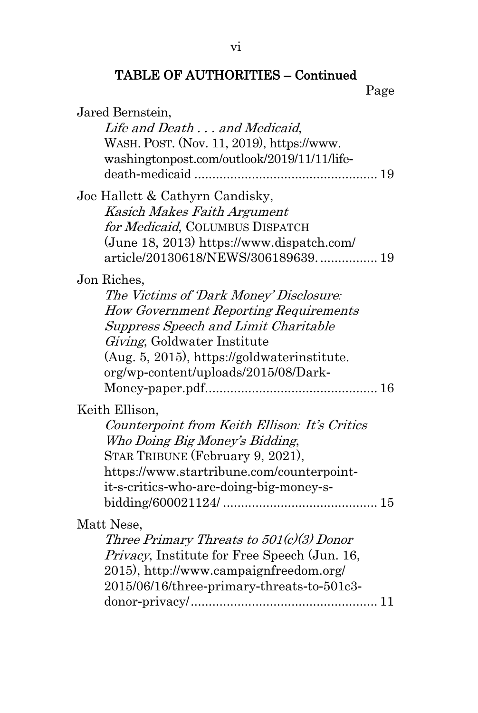vi

## TABLE OF AUTHORITIES – Continued

Page

| Jared Bernstein,<br>Life and Death and Medicaid,                                                                                                                                                                                                                            |
|-----------------------------------------------------------------------------------------------------------------------------------------------------------------------------------------------------------------------------------------------------------------------------|
| WASH. POST. (Nov. 11, 2019), https://www.<br>washingtonpost.com/outlook/2019/11/11/life-                                                                                                                                                                                    |
|                                                                                                                                                                                                                                                                             |
| Joe Hallett & Cathyrn Candisky,<br>Kasich Makes Faith Argument<br>for Medicaid, COLUMBUS DISPATCH<br>(June 18, 2013) https://www.dispatch.com/<br>article/20130618/NEWS/306189639 19                                                                                        |
| Jon Riches,<br>The Victims of 'Dark Money' Disclosure:<br><b>How Government Reporting Requirements</b><br><b>Suppress Speech and Limit Charitable</b><br>Giving, Goldwater Institute<br>(Aug. 5, 2015), https://goldwaterinstitute.<br>org/wp-content/uploads/2015/08/Dark- |
| Keith Ellison,<br>Counterpoint from Keith Ellison: It's Critics<br>Who Doing Big Money's Bidding,<br>STAR TRIBUNE (February 9, 2021),<br>https://www.startribune.com/counterpoint-                                                                                          |
| it-s-critics-who-are-doing-big-money-s-                                                                                                                                                                                                                                     |
| Matt Nese,<br>Three Primary Threats to $501(c)(3)$ Donor<br>Privacy, Institute for Free Speech (Jun. 16,<br>2015), http://www.campaignfreedom.org/<br>2015/06/16/three-primary-threats-to-501c3-                                                                            |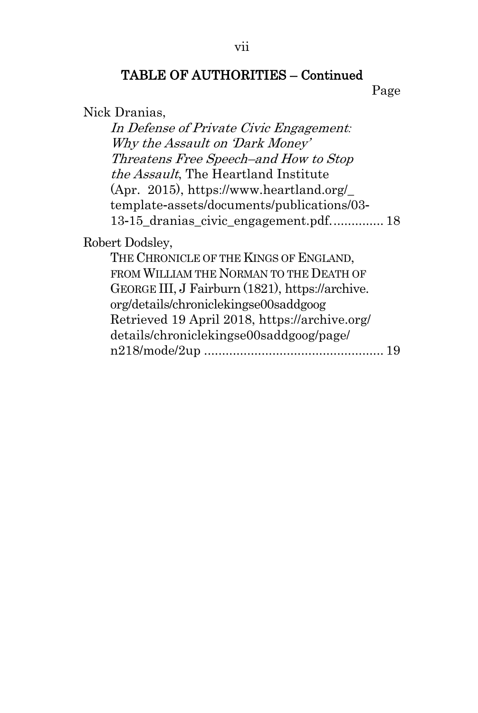Page

```
Nick Dranias,
```
In Defense of Private Civic Engagement*:* Why the Assault on 'Dark Money' Threatens Free Speech–and How to Stop the Assault, The Heartland Institute (Apr. 2015), https://www.heartland.org/\_ template-assets/documents/publications/03- 13-15 dranias civic engagement.pdf............... 18

Robert Dodsley,

THE CHRONICLE OF THE KINGS OF ENGLAND, FROM WILLIAM THE NORMAN TO THE DEATH OF GEORGE III, J Fairburn (1821), https://archive. org/details/chroniclekingse00saddgoog Retrieved 19 April 2018, https://archive.org/ details/chroniclekingse00saddgoog/page/ n218/mode/2up .................................................. 19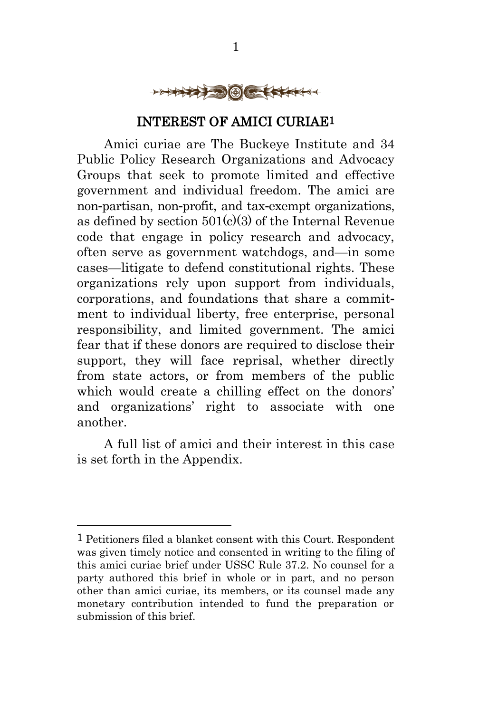

### INTEREST OF AMICI CURIAE1

<span id="page-8-0"></span>Amici curiae are The Buckeye Institute and 34 Public Policy Research Organizations and Advocacy Groups that seek to promote limited and effective government and individual freedom. The amici are non-partisan, non-profit, and tax-exempt organizations, as defined by section  $501(c)(3)$  of the Internal Revenue code that engage in policy research and advocacy, often serve as government watchdogs, and—in some cases—litigate to defend constitutional rights. These organizations rely upon support from individuals, corporations, and foundations that share a commitment to individual liberty, free enterprise, personal responsibility, and limited government. The amici fear that if these donors are required to disclose their support, they will face reprisal, whether directly from state actors, or from members of the public which would create a chilling effect on the donors' and organizations' right to associate with one another.

A full list of amici and their interest in this case is set forth in the Appendix.

<sup>1</sup> Petitioners filed a blanket consent with this Court. Respondent was given timely notice and consented in writing to the filing of this amici curiae brief under USSC Rule 37.2. No counsel for a party authored this brief in whole or in part, and no person other than amici curiae, its members, or its counsel made any monetary contribution intended to fund the preparation or submission of this brief.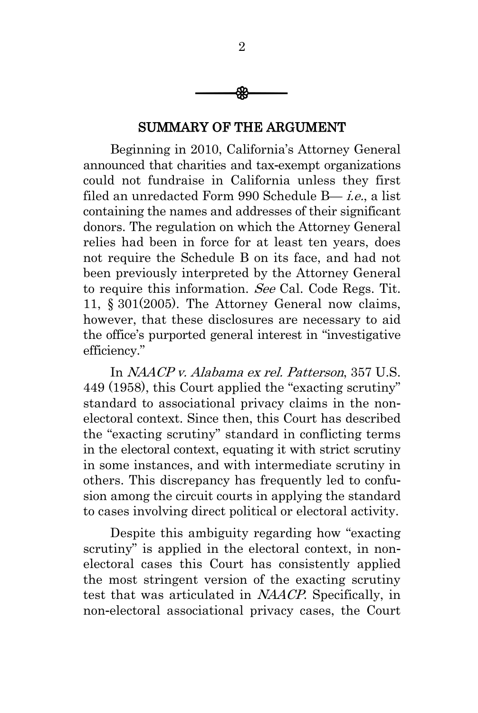

#### SUMMARY OF THE ARGUMENT

<span id="page-9-0"></span>Beginning in 2010, California's Attorney General announced that charities and tax-exempt organizations could not fundraise in California unless they first filed an unredacted Form 990 Schedule B— i.e., a list containing the names and addresses of their significant donors. The regulation on which the Attorney General relies had been in force for at least ten years, does not require the Schedule B on its face, and had not been previously interpreted by the Attorney General to require this information. See Cal. Code Regs. Tit. 11, § 301(2005). The Attorney General now claims, however, that these disclosures are necessary to aid the office's purported general interest in "investigative efficiency."

In NAACP v. Alabama ex rel. Patterson, 357 U.S. 449 (1958), this Court applied the "exacting scrutiny" standard to associational privacy claims in the nonelectoral context. Since then, this Court has described the "exacting scrutiny" standard in conflicting terms in the electoral context, equating it with strict scrutiny in some instances, and with intermediate scrutiny in others. This discrepancy has frequently led to confusion among the circuit courts in applying the standard to cases involving direct political or electoral activity.

Despite this ambiguity regarding how "exacting scrutiny" is applied in the electoral context, in nonelectoral cases this Court has consistently applied the most stringent version of the exacting scrutiny test that was articulated in NAACP. Specifically, in non-electoral associational privacy cases, the Court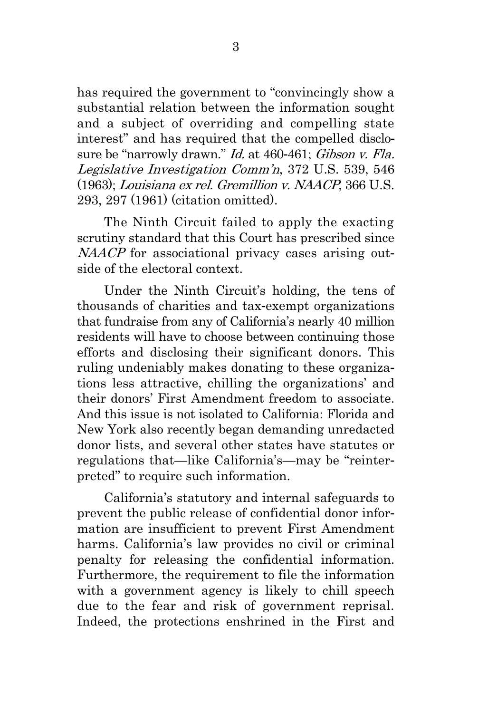has required the government to "convincingly show a substantial relation between the information sought and a subject of overriding and compelling state interest" and has required that the compelled disclosure be "narrowly drawn." Id. at 460-461; Gibson v. Fla. Legislative Investigation Comm'n, 372 U.S. 539, 546 (1963); Louisiana ex rel. Gremillion v. NAACP, 366 U.S. 293, 297 (1961) (citation omitted).

The Ninth Circuit failed to apply the exacting scrutiny standard that this Court has prescribed since NAACP for associational privacy cases arising outside of the electoral context.

Under the Ninth Circuit's holding, the tens of thousands of charities and tax-exempt organizations that fundraise from any of California's nearly 40 million residents will have to choose between continuing those efforts and disclosing their significant donors. This ruling undeniably makes donating to these organizations less attractive, chilling the organizations' and their donors' First Amendment freedom to associate. And this issue is not isolated to California: Florida and New York also recently began demanding unredacted donor lists, and several other states have statutes or regulations that—like California's—may be "reinterpreted" to require such information.

California's statutory and internal safeguards to prevent the public release of confidential donor information are insufficient to prevent First Amendment harms. California's law provides no civil or criminal penalty for releasing the confidential information. Furthermore, the requirement to file the information with a government agency is likely to chill speech due to the fear and risk of government reprisal. Indeed, the protections enshrined in the First and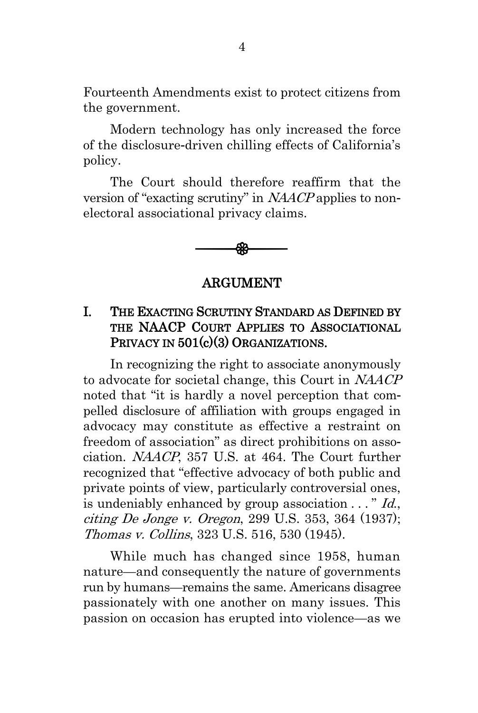Fourteenth Amendments exist to protect citizens from the government.

Modern technology has only increased the force of the disclosure-driven chilling effects of California's policy.

The Court should therefore reaffirm that the version of "exacting scrutiny" in NAACP applies to nonelectoral associational privacy claims.

$$
\longrightarrow
$$

#### ARGUMENT

## <span id="page-11-1"></span><span id="page-11-0"></span>I. THE EXACTING SCRUTINY STANDARD AS DEFINED BY THE NAACP COURT APPLIES TO ASSOCIATIONAL PRIVACY IN  $501(c)(3)$  ORGANIZATIONS.

In recognizing the right to associate anonymously to advocate for societal change, this Court in NAACP noted that "it is hardly a novel perception that compelled disclosure of affiliation with groups engaged in advocacy may constitute as effective a restraint on freedom of association" as direct prohibitions on association. NAACP, 357 U.S. at 464. The Court further recognized that "effective advocacy of both public and private points of view, particularly controversial ones, is undeniably enhanced by group association  $\ldots$  " Id., citing De Jonge v. Oregon, 299 U.S. 353, 364 (1937); Thomas v. Collins, 323 U.S. 516, 530 (1945).

While much has changed since 1958, human nature—and consequently the nature of governments run by humans—remains the same. Americans disagree passionately with one another on many issues. This passion on occasion has erupted into violence—as we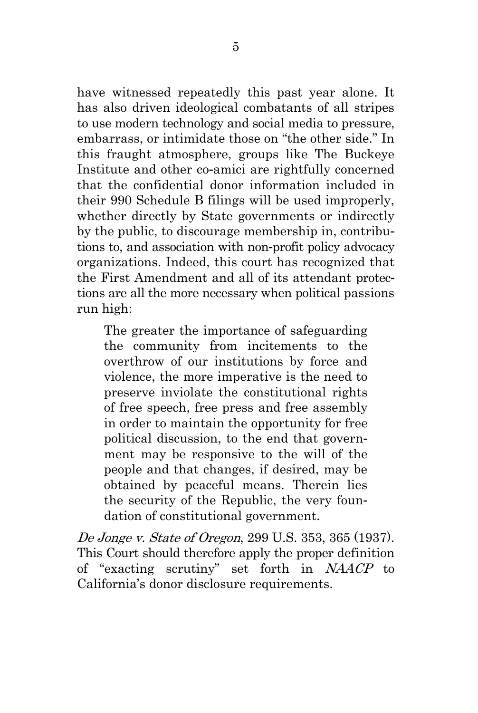have witnessed repeatedly this past year alone. It has also driven ideological combatants of all stripes to use modern technology and social media to pressure, embarrass, or intimidate those on "the other side." In this fraught atmosphere, groups like The Buckeye Institute and other co-amici are rightfully concerned that the confidential donor information included in their 990 Schedule B filings will be used improperly, whether directly by State governments or indirectly by the public, to discourage membership in, contributions to, and association with non-profit policy advocacy organizations. Indeed, this court has recognized that the First Amendment and all of its attendant protections are all the more necessary when political passions run high:

The greater the importance of safeguarding the community from incitements to the overthrow of our institutions by force and violence, the more imperative is the need to preserve inviolate the constitutional rights of free speech, free press and free assembly in order to maintain the opportunity for free political discussion, to the end that government may be responsive to the will of the people and that changes, if desired, may be obtained by peaceful means. Therein lies the security of the Republic, the very foundation of constitutional government.

De Jonge v. State of Oregon, 299 U.S. 353, 365 (1937). This Court should therefore apply the proper definition of "exacting scrutiny" set forth in NAACP to California's donor disclosure requirements.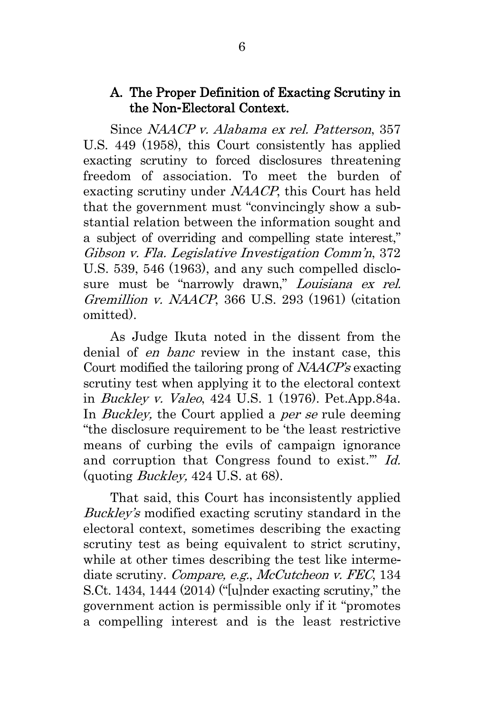### <span id="page-13-0"></span>A. The Proper Definition of Exacting Scrutiny in the Non**-**Electoral Context.

Since NAACP v. Alabama ex rel. Patterson, 357 U.S. 449 (1958), this Court consistently has applied exacting scrutiny to forced disclosures threatening freedom of association. To meet the burden of exacting scrutiny under NAACP, this Court has held that the government must "convincingly show a substantial relation between the information sought and a subject of overriding and compelling state interest," Gibson v. Fla. Legislative Investigation Comm'n, 372 U.S. 539, 546 (1963), and any such compelled disclosure must be "narrowly drawn," *Louisiana ex rel.* Gremillion v. NAACP, 366 U.S. 293 (1961) (citation omitted).

As Judge Ikuta noted in the dissent from the denial of en banc review in the instant case, this Court modified the tailoring prong of NAACP's exacting scrutiny test when applying it to the electoral context in Buckley v. Valeo, 424 U.S. 1 (1976). Pet.App.84a. In *Buckley*, the Court applied a *per se* rule deeming "the disclosure requirement to be 'the least restrictive means of curbing the evils of campaign ignorance and corruption that Congress found to exist.'" Id. (quoting Buckley, 424 U.S. at 68).

That said, this Court has inconsistently applied Buckley's modified exacting scrutiny standard in the electoral context, sometimes describing the exacting scrutiny test as being equivalent to strict scrutiny, while at other times describing the test like intermediate scrutiny. Compare, e.g., McCutcheon v. FEC, 134 S.Ct. 1434, 1444 (2014) ("[u]nder exacting scrutiny," the government action is permissible only if it "promotes a compelling interest and is the least restrictive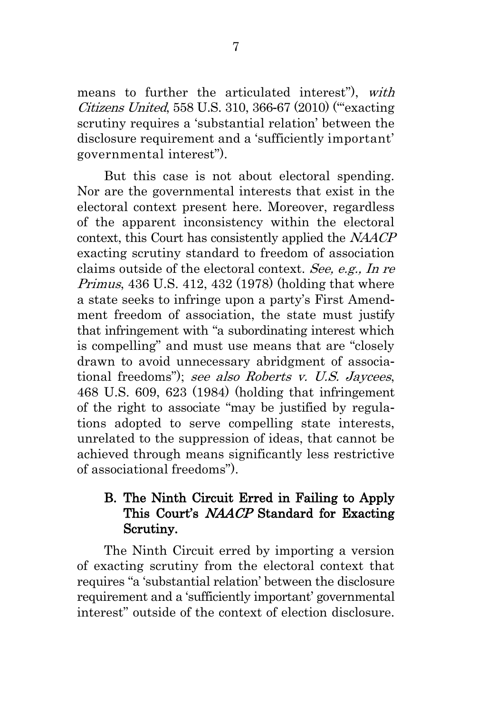means to further the articulated interest"), with Citizens United, 558 U.S. 310, 366-67 (2010) ("'exacting scrutiny requires a 'substantial relation' between the disclosure requirement and a 'sufficiently important' governmental interest").

But this case is not about electoral spending. Nor are the governmental interests that exist in the electoral context present here. Moreover, regardless of the apparent inconsistency within the electoral context, this Court has consistently applied the NAACP exacting scrutiny standard to freedom of association claims outside of the electoral context. See, e.g., In re Primus, 436 U.S. 412, 432 (1978) (holding that where a state seeks to infringe upon a party's First Amendment freedom of association, the state must justify that infringement with "a subordinating interest which is compelling" and must use means that are "closely drawn to avoid unnecessary abridgment of associational freedoms"); see also Roberts v. U.S. Jaycees, 468 U.S. 609, 623 (1984) (holding that infringement of the right to associate "may be justified by regulations adopted to serve compelling state interests, unrelated to the suppression of ideas, that cannot be achieved through means significantly less restrictive of associational freedoms").

## <span id="page-14-0"></span>B. The Ninth Circuit Erred in Failing to Apply This Court's NAACP Standard for Exacting Scrutiny.

The Ninth Circuit erred by importing a version of exacting scrutiny from the electoral context that requires "a 'substantial relation' between the disclosure requirement and a 'sufficiently important' governmental interest" outside of the context of election disclosure.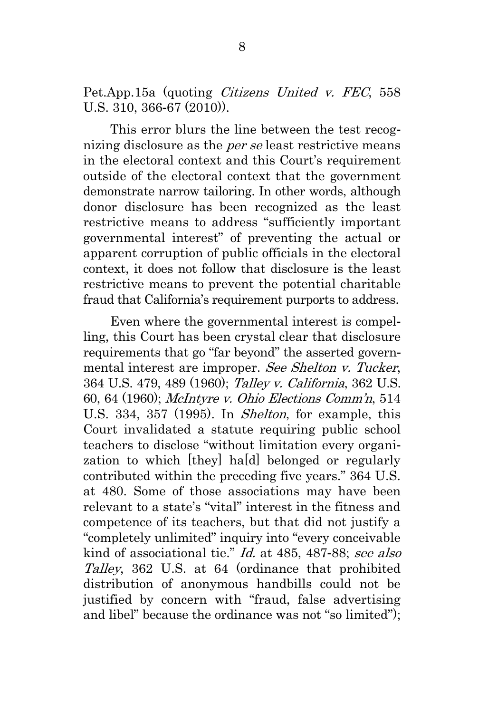Pet.App.15a (quoting *Citizens United v. FEC*, 558 U.S. 310, 366-67 (2010)).

This error blurs the line between the test recognizing disclosure as the *per se* least restrictive means in the electoral context and this Court's requirement outside of the electoral context that the government demonstrate narrow tailoring. In other words, although donor disclosure has been recognized as the least restrictive means to address "sufficiently important governmental interest" of preventing the actual or apparent corruption of public officials in the electoral context, it does not follow that disclosure is the least restrictive means to prevent the potential charitable fraud that California's requirement purports to address.

Even where the governmental interest is compelling, this Court has been crystal clear that disclosure requirements that go "far beyond" the asserted governmental interest are improper. See Shelton v. Tucker, 364 U.S. 479, 489 (1960); Talley v. California, 362 U.S. 60, 64 (1960); McIntyre v. Ohio Elections Comm'n, 514 U.S. 334, 357 (1995). In Shelton, for example, this Court invalidated a statute requiring public school teachers to disclose "without limitation every organization to which [they] ha[d] belonged or regularly contributed within the preceding five years." 364 U.S. at 480. Some of those associations may have been relevant to a state's "vital" interest in the fitness and competence of its teachers, but that did not justify a "completely unlimited" inquiry into "every conceivable kind of associational tie." Id. at 485, 487-88; see also Talley, 362 U.S. at 64 (ordinance that prohibited distribution of anonymous handbills could not be justified by concern with "fraud, false advertising and libel" because the ordinance was not "so limited");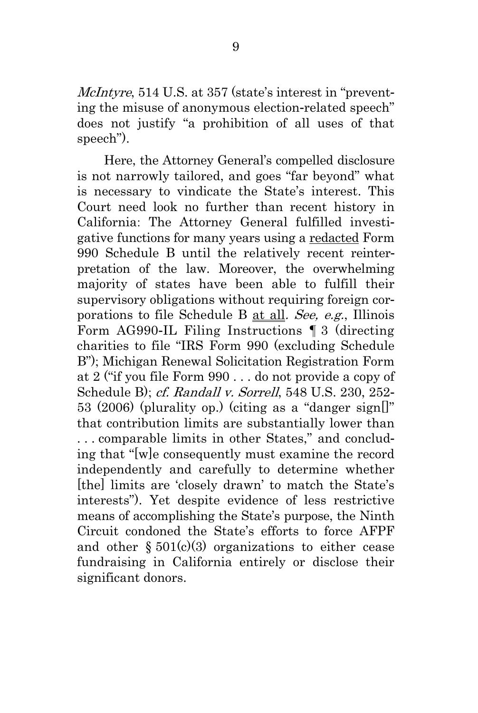McIntyre, 514 U.S. at 357 (state's interest in "preventing the misuse of anonymous election-related speech" does not justify "a prohibition of all uses of that speech").

Here, the Attorney General's compelled disclosure is not narrowly tailored, and goes "far beyond" what is necessary to vindicate the State's interest. This Court need look no further than recent history in California: The Attorney General fulfilled investigative functions for many years using a redacted Form 990 Schedule B until the relatively recent reinterpretation of the law. Moreover, the overwhelming majority of states have been able to fulfill their supervisory obligations without requiring foreign corporations to file Schedule B at all. See, e.g., Illinois Form AG990-IL Filing Instructions ¶ 3 (directing charities to file "IRS Form 990 (excluding Schedule B"); Michigan Renewal Solicitation Registration Form at 2 ("if you file Form 990 . . . do not provide a copy of Schedule B); cf. Randall v. Sorrell, 548 U.S. 230, 252-53 (2006) (plurality op.) (citing as a "danger sign[]" that contribution limits are substantially lower than . . . comparable limits in other States," and concluding that "[w]e consequently must examine the record independently and carefully to determine whether [the] limits are 'closely drawn' to match the State's interests"). Yet despite evidence of less restrictive means of accomplishing the State's purpose, the Ninth Circuit condoned the State's efforts to force AFPF and other  $\S 501(c)(3)$  organizations to either cease fundraising in California entirely or disclose their significant donors.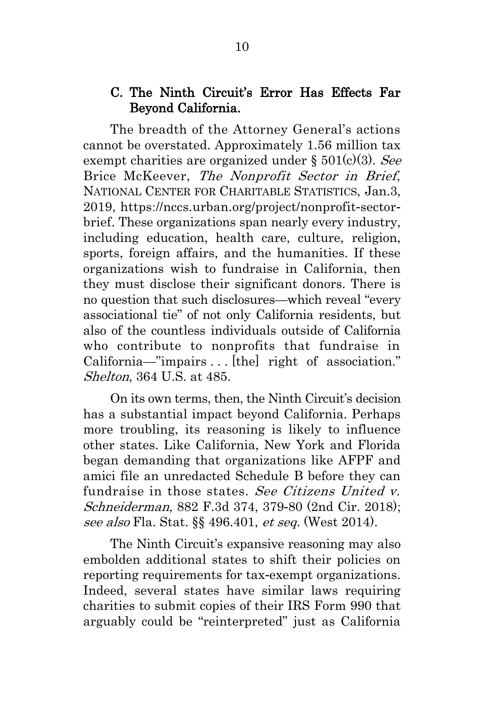### <span id="page-17-0"></span>C. The Ninth Circuit's Error Has Effects Far Beyond California.

The breadth of the Attorney General's actions cannot be overstated. Approximately 1.56 million tax exempt charities are organized under  $\S 501(c)(3)$ . See Brice McKeever, The Nonprofit Sector in Brief, NATIONAL CENTER FOR CHARITABLE STATISTICS, Jan.3, 2019, https://nccs.urban.org/project/nonprofit-sectorbrief. These organizations span nearly every industry, including education, health care, culture, religion, sports, foreign affairs, and the humanities. If these organizations wish to fundraise in California, then they must disclose their significant donors. There is no question that such disclosures—which reveal "every associational tie" of not only California residents, but also of the countless individuals outside of California who contribute to nonprofits that fundraise in California—"impairs . . . [the] right of association." Shelton, 364 U.S. at 485.

On its own terms, then, the Ninth Circuit's decision has a substantial impact beyond California. Perhaps more troubling, its reasoning is likely to influence other states. Like California, New York and Florida began demanding that organizations like AFPF and amici file an unredacted Schedule B before they can fundraise in those states. See Citizens United v. Schneiderman, 882 F.3d 374, 379-80 (2nd Cir. 2018); see also Fla. Stat. §§ 496.401, et seq. (West 2014).

The Ninth Circuit's expansive reasoning may also embolden additional states to shift their policies on reporting requirements for tax-exempt organizations. Indeed, several states have similar laws requiring charities to submit copies of their IRS Form 990 that arguably could be "reinterpreted" just as California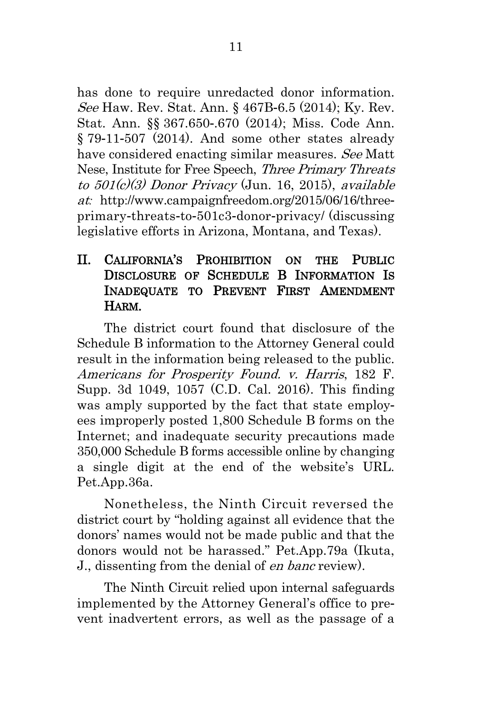has done to require unredacted donor information. See Haw. Rev. Stat. Ann. § 467B-6.5 (2014); Ky. Rev. Stat. Ann. §§ 367.650-.670 (2014); Miss. Code Ann. § 79-11-507 (2014). And some other states already have considered enacting similar measures. See Matt Nese, Institute for Free Speech, Three Primary Threats to 501(c)(3) Donor Privacy (Jun. 16, 2015), available at*:* http://www.campaignfreedom.org/2015/06/16/threeprimary-threats-to-501c3-donor-privacy/ (discussing legislative efforts in Arizona, Montana, and Texas).

## <span id="page-18-0"></span>II. CALIFORNIA'S PROHIBITION ON THE PUBLIC DISCLOSURE OF SCHEDULE B INFORMATION IS INADEQUATE TO PREVENT FIRST AMENDMENT HARM.

The district court found that disclosure of the Schedule B information to the Attorney General could result in the information being released to the public. Americans for Prosperity Found. v. Harris, 182 F. Supp. 3d 1049, 1057 (C.D. Cal. 2016). This finding was amply supported by the fact that state employees improperly posted 1,800 Schedule B forms on the Internet; and inadequate security precautions made 350,000 Schedule B forms accessible online by changing a single digit at the end of the website's URL. Pet.App.36a.

Nonetheless, the Ninth Circuit reversed the district court by "holding against all evidence that the donors' names would not be made public and that the donors would not be harassed." Pet.App.79a (Ikuta, J., dissenting from the denial of en banc review).

The Ninth Circuit relied upon internal safeguards implemented by the Attorney General's office to prevent inadvertent errors, as well as the passage of a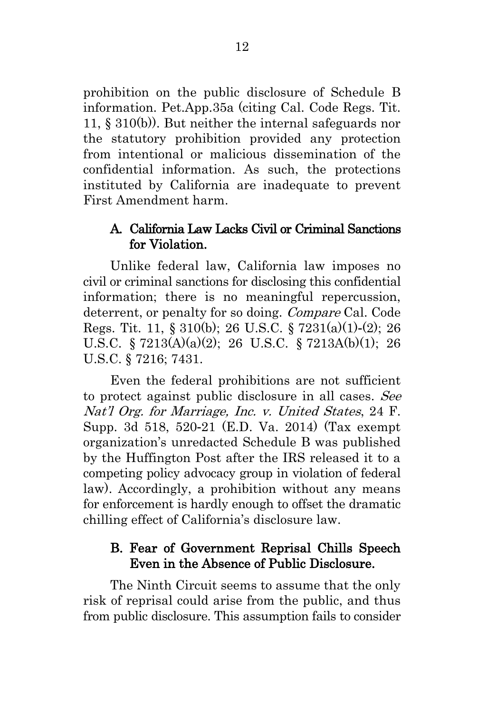prohibition on the public disclosure of Schedule B information. Pet.App.35a (citing Cal. Code Regs. Tit. 11, § 310(b)). But neither the internal safeguards nor the statutory prohibition provided any protection from intentional or malicious dissemination of the confidential information. As such, the protections instituted by California are inadequate to prevent First Amendment harm.

## <span id="page-19-0"></span>A. California Law Lacks Civil or Criminal Sanctions for Violation.

Unlike federal law, California law imposes no civil or criminal sanctions for disclosing this confidential information; there is no meaningful repercussion, deterrent, or penalty for so doing. Compare Cal. Code Regs. Tit. 11, § 310(b); 26 U.S.C. § 7231(a)(1)-(2); 26 U.S.C. § 7213(A)(a)(2); 26 U.S.C. § 7213A(b)(1); 26 U.S.C. § 7216; 7431.

Even the federal prohibitions are not sufficient to protect against public disclosure in all cases. See Nat'l Org. for Marriage, Inc. v. United States, 24 F. Supp. 3d 518, 520-21 (E.D. Va. 2014) (Tax exempt organization's unredacted Schedule B was published by the Huffington Post after the IRS released it to a competing policy advocacy group in violation of federal law). Accordingly, a prohibition without any means for enforcement is hardly enough to offset the dramatic chilling effect of California's disclosure law.

### <span id="page-19-1"></span>B. Fear of Government Reprisal Chills Speech Even in the Absence of Public Disclosure.

The Ninth Circuit seems to assume that the only risk of reprisal could arise from the public, and thus from public disclosure. This assumption fails to consider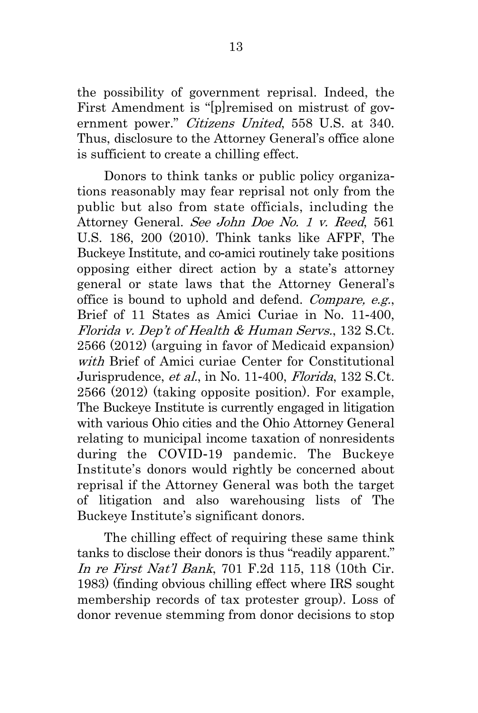the possibility of government reprisal. Indeed, the First Amendment is "[p]remised on mistrust of government power." Citizens United, 558 U.S. at 340. Thus, disclosure to the Attorney General's office alone is sufficient to create a chilling effect.

Donors to think tanks or public policy organizations reasonably may fear reprisal not only from the public but also from state officials, including the Attorney General. See John Doe No. 1 v. Reed, 561 U.S. 186, 200 (2010). Think tanks like AFPF, The Buckeye Institute, and co-amici routinely take positions opposing either direct action by a state's attorney general or state laws that the Attorney General's office is bound to uphold and defend. Compare, e.g., Brief of 11 States as Amici Curiae in No. 11-400, Florida v. Dep't of Health & Human Servs., 132 S.Ct. 2566 (2012) (arguing in favor of Medicaid expansion) with Brief of Amici curiae Center for Constitutional Jurisprudence, et al., in No. 11-400, Florida, 132 S.Ct. 2566 (2012) (taking opposite position). For example, The Buckeye Institute is currently engaged in litigation with various Ohio cities and the Ohio Attorney General relating to municipal income taxation of nonresidents during the COVID-19 pandemic. The Buckeye Institute's donors would rightly be concerned about reprisal if the Attorney General was both the target of litigation and also warehousing lists of The Buckeye Institute's significant donors.

The chilling effect of requiring these same think tanks to disclose their donors is thus "readily apparent." In re First Nat'l Bank, 701 F.2d 115, 118 (10th Cir. 1983) (finding obvious chilling effect where IRS sought membership records of tax protester group). Loss of donor revenue stemming from donor decisions to stop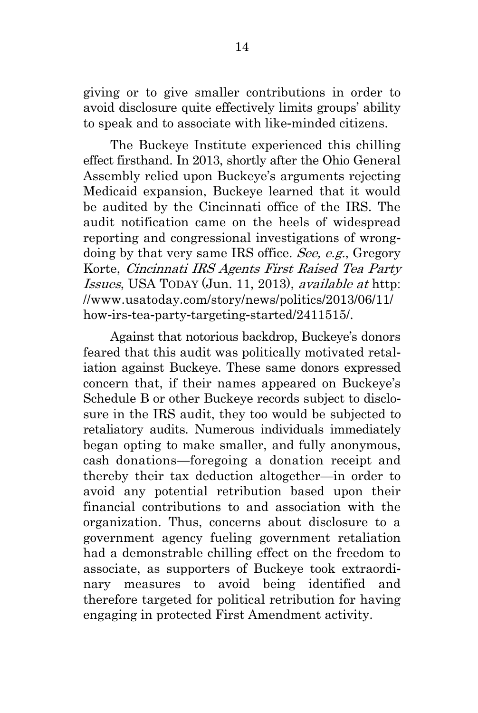giving or to give smaller contributions in order to avoid disclosure quite effectively limits groups' ability to speak and to associate with like-minded citizens.

The Buckeye Institute experienced this chilling effect firsthand. In 2013, shortly after the Ohio General Assembly relied upon Buckeye's arguments rejecting Medicaid expansion, Buckeye learned that it would be audited by the Cincinnati office of the IRS. The audit notification came on the heels of widespread reporting and congressional investigations of wrongdoing by that very same IRS office. See, e.g., Gregory Korte, Cincinnati IRS Agents First Raised Tea Party Issues, USA TODAY (Jun. 11, 2013), available at http: //www.usatoday.com/story/news/politics/2013/06/11/ how-irs-tea-party-targeting-started/2411515/.

Against that notorious backdrop, Buckeye's donors feared that this audit was politically motivated retaliation against Buckeye. These same donors expressed concern that, if their names appeared on Buckeye's Schedule B or other Buckeye records subject to disclosure in the IRS audit, they too would be subjected to retaliatory audits. Numerous individuals immediately began opting to make smaller, and fully anonymous, cash donations—foregoing a donation receipt and thereby their tax deduction altogether—in order to avoid any potential retribution based upon their financial contributions to and association with the organization. Thus, concerns about disclosure to a government agency fueling government retaliation had a demonstrable chilling effect on the freedom to associate, as supporters of Buckeye took extraordinary measures to avoid being identified and therefore targeted for political retribution for having engaging in protected First Amendment activity.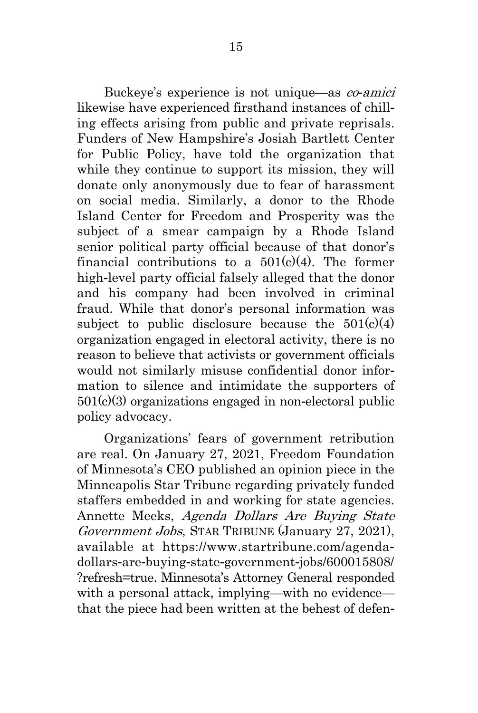Buckeye's experience is not unique—as co*-*amici likewise have experienced firsthand instances of chilling effects arising from public and private reprisals. Funders of New Hampshire's Josiah Bartlett Center for Public Policy, have told the organization that while they continue to support its mission, they will donate only anonymously due to fear of harassment on social media. Similarly, a donor to the Rhode Island Center for Freedom and Prosperity was the subject of a smear campaign by a Rhode Island senior political party official because of that donor's financial contributions to a  $501(c)(4)$ . The former high-level party official falsely alleged that the donor and his company had been involved in criminal fraud. While that donor's personal information was subject to public disclosure because the  $501(c)(4)$ organization engaged in electoral activity, there is no reason to believe that activists or government officials would not similarly misuse confidential donor information to silence and intimidate the supporters of 501(c)(3) organizations engaged in non-electoral public policy advocacy.

Organizations' fears of government retribution are real. On January 27, 2021, Freedom Foundation of Minnesota's CEO published an opinion piece in the Minneapolis Star Tribune regarding privately funded staffers embedded in and working for state agencies. Annette Meeks, Agenda Dollars Are Buying State Government Jobs, STAR TRIBUNE (January 27, 2021), available at https://www.startribune.com/agendadollars-are-buying-state-government-jobs/600015808/ ?refresh=true. Minnesota's Attorney General responded with a personal attack, implying—with no evidence that the piece had been written at the behest of defen-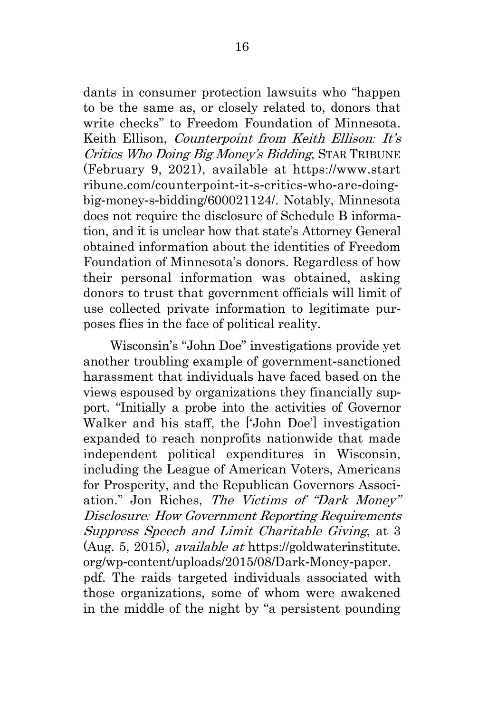dants in consumer protection lawsuits who "happen to be the same as, or closely related to, donors that write checks" to Freedom Foundation of Minnesota. Keith Ellison, Counterpoint from Keith Ellison*:* It's Critics Who Doing Big Money's Bidding, STAR TRIBUNE (February 9, 2021), available at https://www.start ribune.com/counterpoint-it-s-critics-who-are-doingbig-money-s-bidding/600021124/. Notably, Minnesota does not require the disclosure of Schedule B information, and it is unclear how that state's Attorney General obtained information about the identities of Freedom Foundation of Minnesota's donors. Regardless of how their personal information was obtained, asking donors to trust that government officials will limit of use collected private information to legitimate purposes flies in the face of political reality.

Wisconsin's "John Doe" investigations provide yet another troubling example of government-sanctioned harassment that individuals have faced based on the views espoused by organizations they financially support. "Initially a probe into the activities of Governor Walker and his staff, the ['John Doe'] investigation expanded to reach nonprofits nationwide that made independent political expenditures in Wisconsin, including the League of American Voters, Americans for Prosperity, and the Republican Governors Association." Jon Riches, The Victims of "Dark Money" Disclosure*:* How Government Reporting Requirements Suppress Speech and Limit Charitable Giving, at 3 (Aug. 5, 2015), available at https://goldwaterinstitute. org/wp-content/uploads/2015/08/Dark-Money-paper. pdf. The raids targeted individuals associated with

those organizations, some of whom were awakened in the middle of the night by "a persistent pounding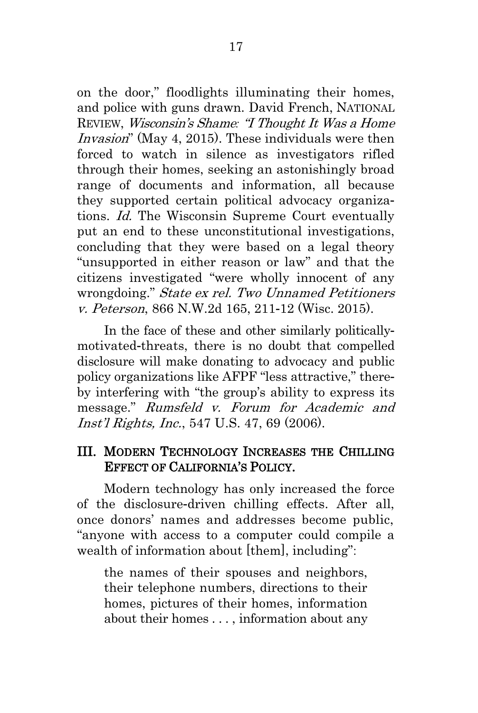on the door," floodlights illuminating their homes, and police with guns drawn. David French, NATIONAL REVIEW, Wisconsin's Shame*:* "I Thought It Was a Home Invasion" (May 4, 2015). These individuals were then forced to watch in silence as investigators rifled through their homes, seeking an astonishingly broad range of documents and information, all because they supported certain political advocacy organizations. Id. The Wisconsin Supreme Court eventually put an end to these unconstitutional investigations, concluding that they were based on a legal theory "unsupported in either reason or law" and that the citizens investigated "were wholly innocent of any wrongdoing." State ex rel. Two Unnamed Petitioners v. Peterson, 866 N.W.2d 165, 211-12 (Wisc. 2015).

In the face of these and other similarly politicallymotivated-threats, there is no doubt that compelled disclosure will make donating to advocacy and public policy organizations like AFPF "less attractive," thereby interfering with "the group's ability to express its message." Rumsfeld v. Forum for Academic and Inst'l Rights, Inc., 547 U.S. 47, 69 (2006).

#### <span id="page-24-0"></span>III. MODERN TECHNOLOGY INCREASES THE CHILLING EFFECT OF CALIFORNIA'S POLICY.

Modern technology has only increased the force of the disclosure-driven chilling effects. After all, once donors' names and addresses become public, "anyone with access to a computer could compile a wealth of information about [them], including":

the names of their spouses and neighbors, their telephone numbers, directions to their homes, pictures of their homes, information about their homes . . . , information about any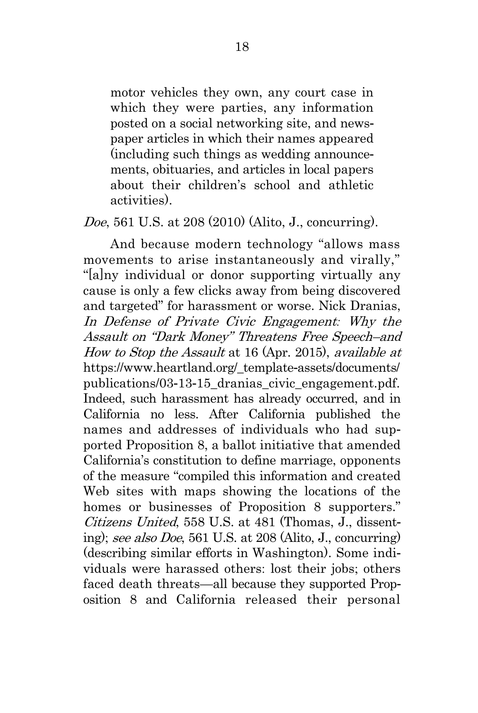motor vehicles they own, any court case in which they were parties, any information posted on a social networking site, and newspaper articles in which their names appeared (including such things as wedding announcements, obituaries, and articles in local papers about their children's school and athletic activities).

#### Doe, 561 U.S. at 208 (2010) (Alito, J., concurring).

And because modern technology "allows mass movements to arise instantaneously and virally," "[a]ny individual or donor supporting virtually any cause is only a few clicks away from being discovered and targeted" for harassment or worse. Nick Dranias, In Defense of Private Civic Engagement*:* Why the Assault on "Dark Money" Threatens Free Speech–and How to Stop the Assault at 16 (Apr. 2015), available at https://www.heartland.org/\_template-assets/documents/ publications/03-13-15\_dranias\_civic\_engagement.pdf. Indeed, such harassment has already occurred, and in California no less. After California published the names and addresses of individuals who had supported Proposition 8, a ballot initiative that amended California's constitution to define marriage, opponents of the measure "compiled this information and created Web sites with maps showing the locations of the homes or businesses of Proposition 8 supporters." Citizens United, 558 U.S. at 481 (Thomas, J., dissenting); see also Doe, 561 U.S. at 208 (Alito, J., concurring) (describing similar efforts in Washington). Some individuals were harassed others: lost their jobs; others faced death threats—all because they supported Proposition 8 and California released their personal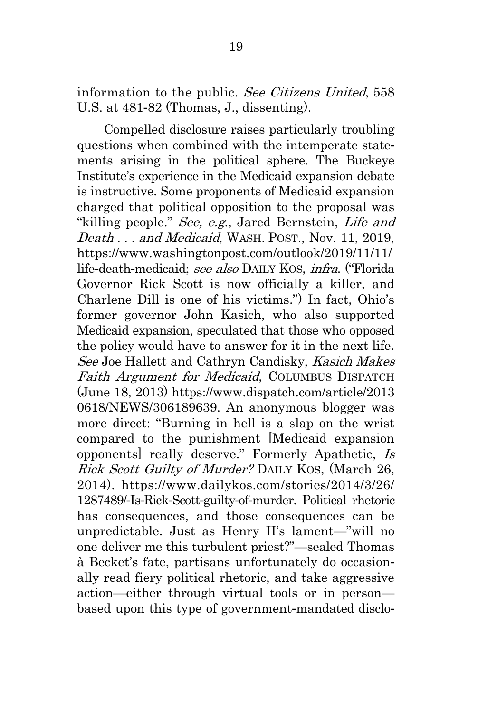information to the public. See Citizens United, 558 U.S. at 481-82 (Thomas, J., dissenting).

Compelled disclosure raises particularly troubling questions when combined with the intemperate statements arising in the political sphere. The Buckeye Institute's experience in the Medicaid expansion debate is instructive. Some proponents of Medicaid expansion charged that political opposition to the proposal was "killing people." See, e.g., Jared Bernstein, Life and Death . . . and Medicaid, WASH. POST., Nov. 11, 2019, https://www.washingtonpost.com/outlook/2019/11/11/ life-death-medicaid; see also DAILY KOS, infra. ("Florida Governor Rick Scott is now officially a killer, and Charlene Dill is one of his victims.") In fact, Ohio's former governor John Kasich, who also supported Medicaid expansion, speculated that those who opposed the policy would have to answer for it in the next life. See Joe Hallett and Cathryn Candisky, Kasich Makes Faith Argument for Medicaid, COLUMBUS DISPATCH (June 18, 2013) https://www.dispatch.com/article/2013 0618/NEWS/306189639. An anonymous blogger was more direct: "Burning in hell is a slap on the wrist compared to the punishment [Medicaid expansion opponents] really deserve." Formerly Apathetic, Is Rick Scott Guilty of Murder? DAILY KOS, (March 26, 2014). https://www.dailykos.com/stories/2014/3/26/ 1287489/-Is-Rick-Scott-guilty-of-murder. Political rhetoric has consequences, and those consequences can be unpredictable. Just as Henry II's lament—"will no one deliver me this turbulent priest?"—sealed Thomas à Becket's fate, partisans unfortunately do occasionally read fiery political rhetoric, and take aggressive action—either through virtual tools or in person based upon this type of government-mandated disclo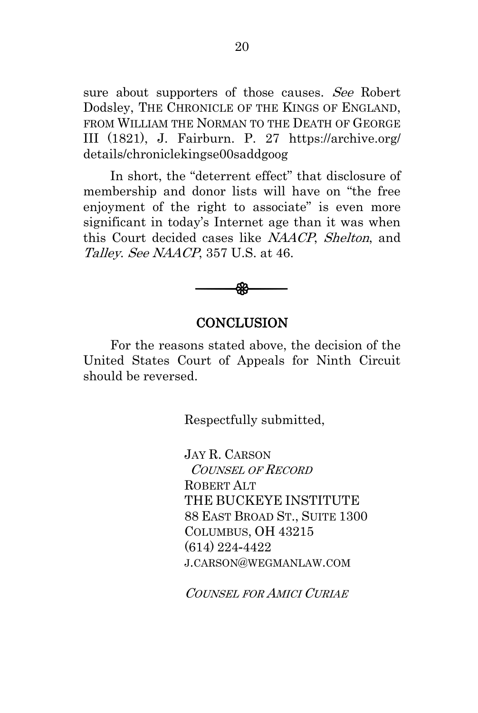sure about supporters of those causes. See Robert Dodsley, THE CHRONICLE OF THE KINGS OF ENGLAND, FROM WILLIAM THE NORMAN TO THE DEATH OF GEORGE III (1821), J. Fairburn. P. 27 https://archive.org/ details/chroniclekingse00saddgoog

In short, the "deterrent effect" that disclosure of membership and donor lists will have on "the free enjoyment of the right to associate" is even more significant in today's Internet age than it was when this Court decided cases like NAACP, Shelton, and Talley. See NAACP, 357 U.S. at 46.



#### **CONCLUSION**

<span id="page-27-0"></span>For the reasons stated above, the decision of the United States Court of Appeals for Ninth Circuit should be reversed.

Respectfully submitted,

JAY R. CARSON COUNSEL OF RECORD ROBERT ALT THE BUCKEYE INSTITUTE 88 EAST BROAD ST., SUITE 1300 COLUMBUS, OH 43215 (614) 224-4422 J.CARSON@WEGMANLAW.COM

COUNSEL FOR AMICI CURIAE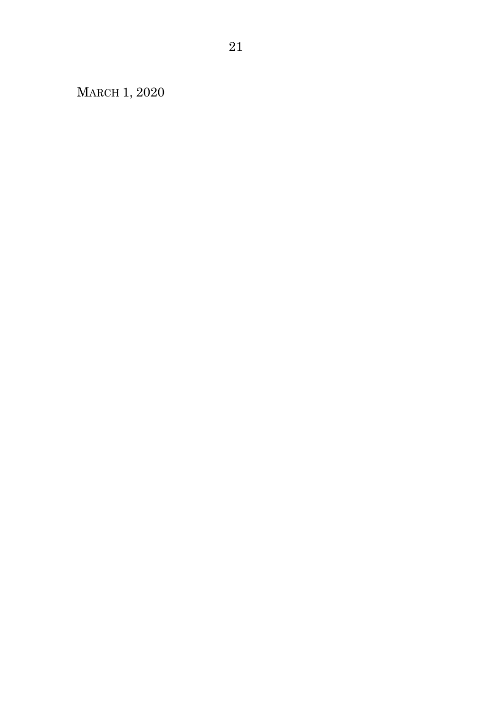MARCH 1, 2020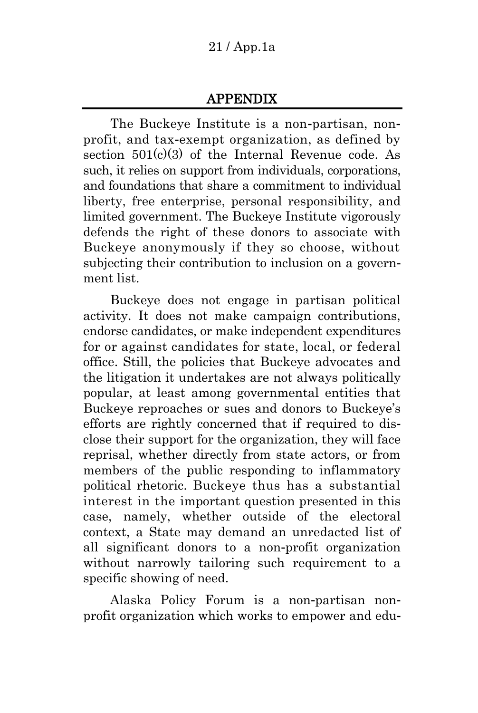## APPENDIX

The Buckeye Institute is a non-partisan, nonprofit, and tax-exempt organization, as defined by section  $501(c)(3)$  of the Internal Revenue code. As such, it relies on support from individuals, corporations, and foundations that share a commitment to individual liberty, free enterprise, personal responsibility, and limited government. The Buckeye Institute vigorously defends the right of these donors to associate with Buckeye anonymously if they so choose, without subjecting their contribution to inclusion on a government list.

Buckeye does not engage in partisan political activity. It does not make campaign contributions, endorse candidates, or make independent expenditures for or against candidates for state, local, or federal office. Still, the policies that Buckeye advocates and the litigation it undertakes are not always politically popular, at least among governmental entities that Buckeye reproaches or sues and donors to Buckeye's efforts are rightly concerned that if required to disclose their support for the organization, they will face reprisal, whether directly from state actors, or from members of the public responding to inflammatory political rhetoric. Buckeye thus has a substantial interest in the important question presented in this case, namely, whether outside of the electoral context, a State may demand an unredacted list of all significant donors to a non-profit organization without narrowly tailoring such requirement to a specific showing of need.

Alaska Policy Forum is a non-partisan nonprofit organization which works to empower and edu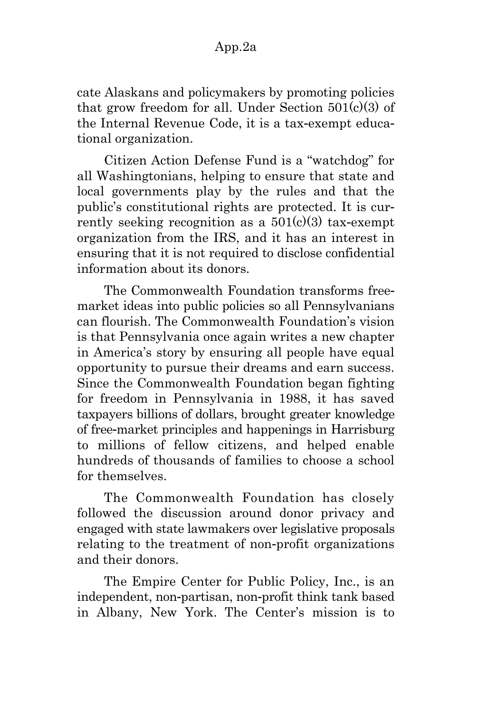cate Alaskans and policymakers by promoting policies that grow freedom for all. Under Section  $501(c)(3)$  of the Internal Revenue Code, it is a tax-exempt educational organization.

Citizen Action Defense Fund is a "watchdog" for all Washingtonians, helping to ensure that state and local governments play by the rules and that the public's constitutional rights are protected. It is currently seeking recognition as a  $501(c)(3)$  tax-exempt organization from the IRS, and it has an interest in ensuring that it is not required to disclose confidential information about its donors.

The Commonwealth Foundation transforms freemarket ideas into public policies so all Pennsylvanians can flourish. The Commonwealth Foundation's vision is that Pennsylvania once again writes a new chapter in America's story by ensuring all people have equal opportunity to pursue their dreams and earn success. Since the Commonwealth Foundation began fighting for freedom in Pennsylvania in 1988, it has saved taxpayers billions of dollars, brought greater knowledge of free-market principles and happenings in Harrisburg to millions of fellow citizens, and helped enable hundreds of thousands of families to choose a school for themselves.

The Commonwealth Foundation has closely followed the discussion around donor privacy and engaged with state lawmakers over legislative proposals relating to the treatment of non-profit organizations and their donors.

The Empire Center for Public Policy, Inc., is an independent, non-partisan, non-profit think tank based in Albany, New York. The Center's mission is to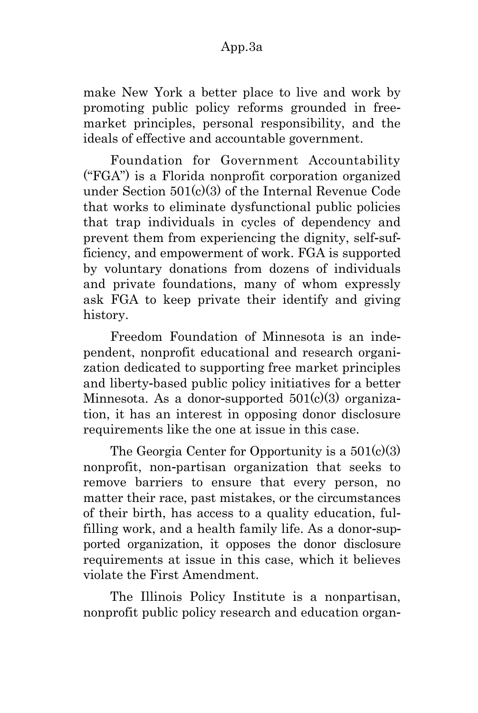make New York a better place to live and work by promoting public policy reforms grounded in freemarket principles, personal responsibility, and the ideals of effective and accountable government.

Foundation for Government Accountability ("FGA") is a Florida nonprofit corporation organized under Section 501(c)(3) of the Internal Revenue Code that works to eliminate dysfunctional public policies that trap individuals in cycles of dependency and prevent them from experiencing the dignity, self-sufficiency, and empowerment of work. FGA is supported by voluntary donations from dozens of individuals and private foundations, many of whom expressly ask FGA to keep private their identify and giving history.

Freedom Foundation of Minnesota is an independent, nonprofit educational and research organization dedicated to supporting free market principles and liberty-based public policy initiatives for a better Minnesota. As a donor-supported  $501(c)(3)$  organization, it has an interest in opposing donor disclosure requirements like the one at issue in this case.

The Georgia Center for Opportunity is a  $501(c)(3)$ nonprofit, non-partisan organization that seeks to remove barriers to ensure that every person, no matter their race, past mistakes, or the circumstances of their birth, has access to a quality education, fulfilling work, and a health family life. As a donor-supported organization, it opposes the donor disclosure requirements at issue in this case, which it believes violate the First Amendment.

The Illinois Policy Institute is a nonpartisan, nonprofit public policy research and education organ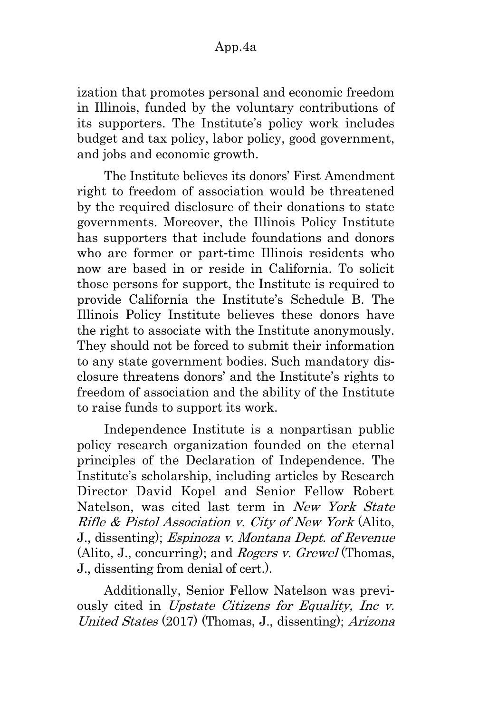ization that promotes personal and economic freedom in Illinois, funded by the voluntary contributions of its supporters. The Institute's policy work includes budget and tax policy, labor policy, good government, and jobs and economic growth.

The Institute believes its donors' First Amendment right to freedom of association would be threatened by the required disclosure of their donations to state governments. Moreover, the Illinois Policy Institute has supporters that include foundations and donors who are former or part-time Illinois residents who now are based in or reside in California. To solicit those persons for support, the Institute is required to provide California the Institute's Schedule B. The Illinois Policy Institute believes these donors have the right to associate with the Institute anonymously. They should not be forced to submit their information to any state government bodies. Such mandatory disclosure threatens donors' and the Institute's rights to freedom of association and the ability of the Institute to raise funds to support its work.

Independence Institute is a nonpartisan public policy research organization founded on the eternal principles of the Declaration of Independence. The Institute's scholarship, including articles by Research Director David Kopel and Senior Fellow Robert Natelson, was cited last term in New York State Rifle & Pistol Association v. City of New York (Alito, J., dissenting); Espinoza v. Montana Dept. of Revenue (Alito, J., concurring); and *Rogers v. Grewel* (Thomas, J., dissenting from denial of cert.).

Additionally, Senior Fellow Natelson was previously cited in Upstate Citizens for Equality, Inc v. United States (2017) (Thomas, J., dissenting); Arizona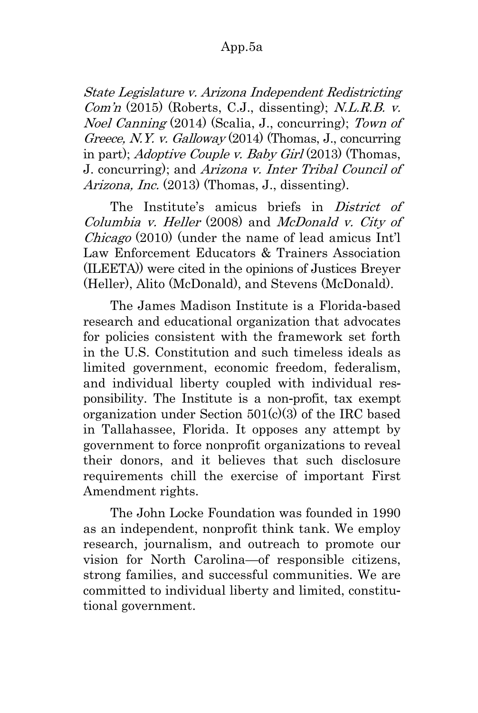### App.5a

State Legislature v. Arizona Independent Redistricting  $Comn$  (2015) (Roberts, C.J., dissenting); N.L.R.B. v. Noel Canning (2014) (Scalia, J., concurring); Town of Greece, N.Y. v. Galloway  $(2014)$  (Thomas, J., concurring in part); Adoptive Couple v. Baby Girl (2013) (Thomas, J. concurring); and Arizona v. Inter Tribal Council of Arizona, Inc. (2013) (Thomas, J., dissenting).

The Institute's amicus briefs in *District of* Columbia v. Heller (2008) and McDonald v. City of Chicago (2010) (under the name of lead amicus Int'l Law Enforcement Educators & Trainers Association (ILEETA)) were cited in the opinions of Justices Breyer (Heller), Alito (McDonald), and Stevens (McDonald).

The James Madison Institute is a Florida-based research and educational organization that advocates for policies consistent with the framework set forth in the U.S. Constitution and such timeless ideals as limited government, economic freedom, federalism, and individual liberty coupled with individual responsibility. The Institute is a non-profit, tax exempt organization under Section 501(c)(3) of the IRC based in Tallahassee, Florida. It opposes any attempt by government to force nonprofit organizations to reveal their donors, and it believes that such disclosure requirements chill the exercise of important First Amendment rights.

The John Locke Foundation was founded in 1990 as an independent, nonprofit think tank. We employ research, journalism, and outreach to promote our vision for North Carolina—of responsible citizens, strong families, and successful communities. We are committed to individual liberty and limited, constitutional government.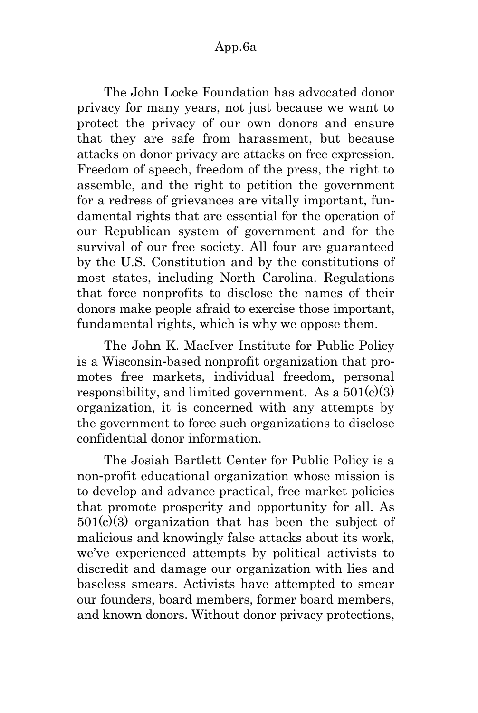The John Locke Foundation has advocated donor privacy for many years, not just because we want to protect the privacy of our own donors and ensure that they are safe from harassment, but because attacks on donor privacy are attacks on free expression. Freedom of speech, freedom of the press, the right to assemble, and the right to petition the government for a redress of grievances are vitally important, fundamental rights that are essential for the operation of our Republican system of government and for the survival of our free society. All four are guaranteed by the U.S. Constitution and by the constitutions of most states, including North Carolina. Regulations that force nonprofits to disclose the names of their donors make people afraid to exercise those important, fundamental rights, which is why we oppose them.

The John K. MacIver Institute for Public Policy is a Wisconsin-based nonprofit organization that promotes free markets, individual freedom, personal responsibility, and limited government. As a  $501(c)(3)$ organization, it is concerned with any attempts by the government to force such organizations to disclose confidential donor information.

The Josiah Bartlett Center for Public Policy is a non-profit educational organization whose mission is to develop and advance practical, free market policies that promote prosperity and opportunity for all. As  $501(c)(3)$  organization that has been the subject of malicious and knowingly false attacks about its work, we've experienced attempts by political activists to discredit and damage our organization with lies and baseless smears. Activists have attempted to smear our founders, board members, former board members, and known donors. Without donor privacy protections,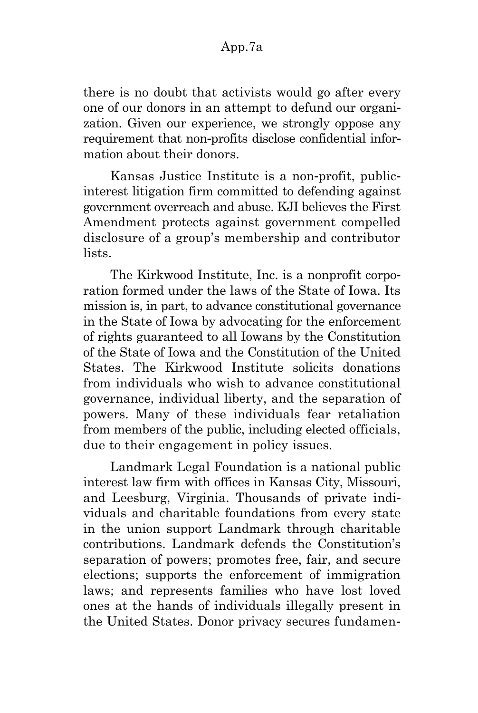there is no doubt that activists would go after every one of our donors in an attempt to defund our organization. Given our experience, we strongly oppose any requirement that non-profits disclose confidential information about their donors.

Kansas Justice Institute is a non-profit, publicinterest litigation firm committed to defending against government overreach and abuse. KJI believes the First Amendment protects against government compelled disclosure of a group's membership and contributor lists.

The Kirkwood Institute, Inc. is a nonprofit corporation formed under the laws of the State of Iowa. Its mission is, in part, to advance constitutional governance in the State of Iowa by advocating for the enforcement of rights guaranteed to all Iowans by the Constitution of the State of Iowa and the Constitution of the United States. The Kirkwood Institute solicits donations from individuals who wish to advance constitutional governance, individual liberty, and the separation of powers. Many of these individuals fear retaliation from members of the public, including elected officials, due to their engagement in policy issues.

Landmark Legal Foundation is a national public interest law firm with offices in Kansas City, Missouri, and Leesburg, Virginia. Thousands of private individuals and charitable foundations from every state in the union support Landmark through charitable contributions. Landmark defends the Constitution's separation of powers; promotes free, fair, and secure elections; supports the enforcement of immigration laws; and represents families who have lost loved ones at the hands of individuals illegally present in the United States. Donor privacy secures fundamen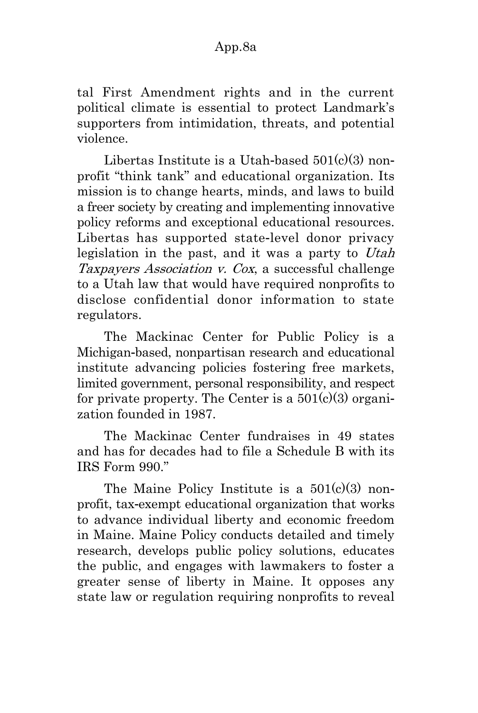tal First Amendment rights and in the current political climate is essential to protect Landmark's supporters from intimidation, threats, and potential violence.

Libertas Institute is a Utah-based  $501(c)(3)$  nonprofit "think tank" and educational organization. Its mission is to change hearts, minds, and laws to build a freer society by creating and implementing innovative policy reforms and exceptional educational resources. Libertas has supported state-level donor privacy legislation in the past, and it was a party to Utah Taxpayers Association v. Cox, a successful challenge to a Utah law that would have required nonprofits to disclose confidential donor information to state regulators.

The Mackinac Center for Public Policy is a Michigan-based, nonpartisan research and educational institute advancing policies fostering free markets, limited government, personal responsibility, and respect for private property. The Center is a  $501(c)(3)$  organization founded in 1987.

The Mackinac Center fundraises in 49 states and has for decades had to file a Schedule B with its IRS Form 990."

The Maine Policy Institute is a  $501(c)(3)$  nonprofit, tax-exempt educational organization that works to advance individual liberty and economic freedom in Maine. Maine Policy conducts detailed and timely research, develops public policy solutions, educates the public, and engages with lawmakers to foster a greater sense of liberty in Maine. It opposes any state law or regulation requiring nonprofits to reveal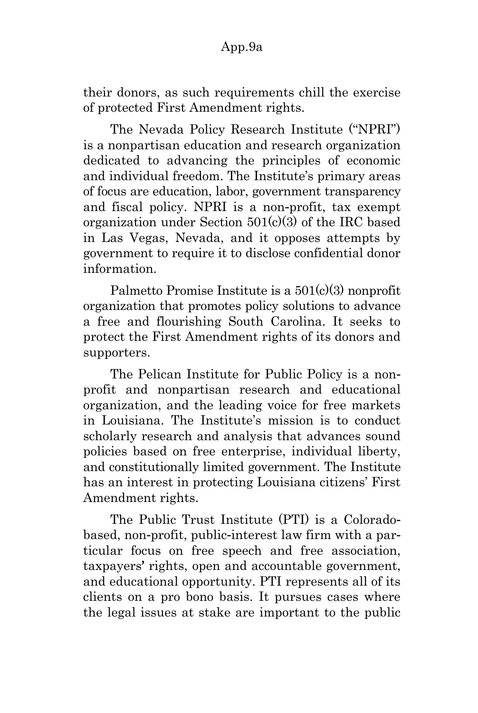### App.9a

their donors, as such requirements chill the exercise of protected First Amendment rights.

The Nevada Policy Research Institute ("NPRI") is a nonpartisan education and research organization dedicated to advancing the principles of economic and individual freedom. The Institute's primary areas of focus are education, labor, government transparency and fiscal policy. NPRI is a non-profit, tax exempt organization under Section 501(c)(3) of the IRC based in Las Vegas, Nevada, and it opposes attempts by government to require it to disclose confidential donor information.

Palmetto Promise Institute is a  $501(c)(3)$  nonprofit organization that promotes policy solutions to advance a free and flourishing South Carolina. It seeks to protect the First Amendment rights of its donors and supporters.

The Pelican Institute for Public Policy is a nonprofit and nonpartisan research and educational organization, and the leading voice for free markets in Louisiana. The Institute's mission is to conduct scholarly research and analysis that advances sound policies based on free enterprise, individual liberty, and constitutionally limited government. The Institute has an interest in protecting Louisiana citizens' First Amendment rights.

The Public Trust Institute (PTI) is a Coloradobased, non-profit, public-interest law firm with a particular focus on free speech and free association, taxpayers' rights, open and accountable government, and educational opportunity. PTI represents all of its clients on a pro bono basis. It pursues cases where the legal issues at stake are important to the public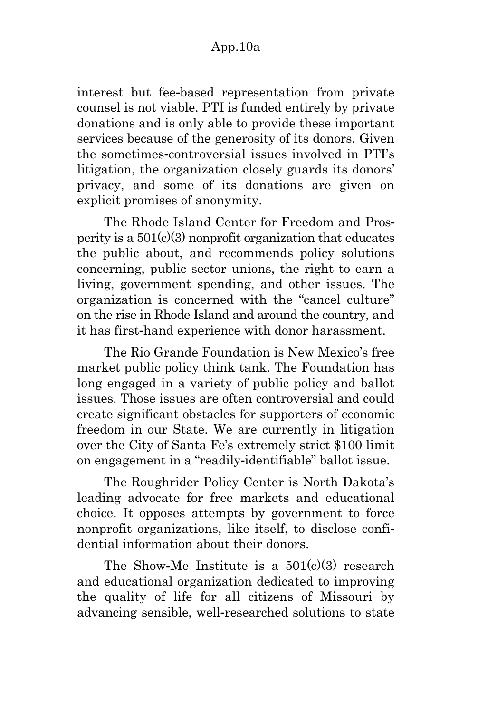interest but fee-based representation from private counsel is not viable. PTI is funded entirely by private donations and is only able to provide these important services because of the generosity of its donors. Given the sometimes-controversial issues involved in PTI's litigation, the organization closely guards its donors' privacy, and some of its donations are given on explicit promises of anonymity.

The Rhode Island Center for Freedom and Prosperity is a  $501(c)(3)$  nonprofit organization that educates the public about, and recommends policy solutions concerning, public sector unions, the right to earn a living, government spending, and other issues. The organization is concerned with the "cancel culture" on the rise in Rhode Island and around the country, and it has first-hand experience with donor harassment.

The Rio Grande Foundation is New Mexico's free market public policy think tank. The Foundation has long engaged in a variety of public policy and ballot issues. Those issues are often controversial and could create significant obstacles for supporters of economic freedom in our State. We are currently in litigation over the City of Santa Fe's extremely strict \$100 limit on engagement in a "readily-identifiable" ballot issue.

The Roughrider Policy Center is North Dakota's leading advocate for free markets and educational choice. It opposes attempts by government to force nonprofit organizations, like itself, to disclose confidential information about their donors.

The Show-Me Institute is a  $501(c)(3)$  research and educational organization dedicated to improving the quality of life for all citizens of Missouri by advancing sensible, well-researched solutions to state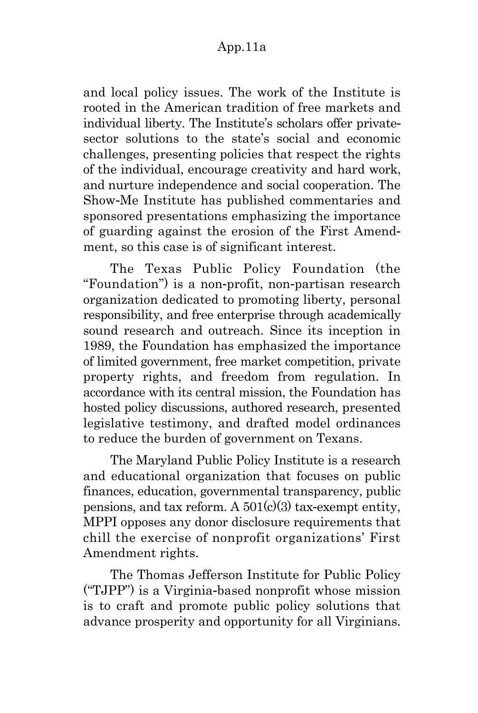### App.11a

and local policy issues. The work of the Institute is rooted in the American tradition of free markets and individual liberty. The Institute's scholars offer privatesector solutions to the state's social and economic challenges, presenting policies that respect the rights of the individual, encourage creativity and hard work, and nurture independence and social cooperation. The Show-Me Institute has published commentaries and sponsored presentations emphasizing the importance of guarding against the erosion of the First Amendment, so this case is of significant interest.

The Texas Public Policy Foundation (the "Foundation") is a non-profit, non-partisan research organization dedicated to promoting liberty, personal responsibility, and free enterprise through academically sound research and outreach. Since its inception in 1989, the Foundation has emphasized the importance of limited government, free market competition, private property rights, and freedom from regulation. In accordance with its central mission, the Foundation has hosted policy discussions, authored research, presented legislative testimony, and drafted model ordinances to reduce the burden of government on Texans.

The Maryland Public Policy Institute is a research and educational organization that focuses on public finances, education, governmental transparency, public pensions, and tax reform. A  $501(c)(3)$  tax-exempt entity, MPPI opposes any donor disclosure requirements that chill the exercise of nonprofit organizations' First Amendment rights.

The Thomas Jefferson Institute for Public Policy ("TJPP") is a Virginia-based nonprofit whose mission is to craft and promote public policy solutions that advance prosperity and opportunity for all Virginians.